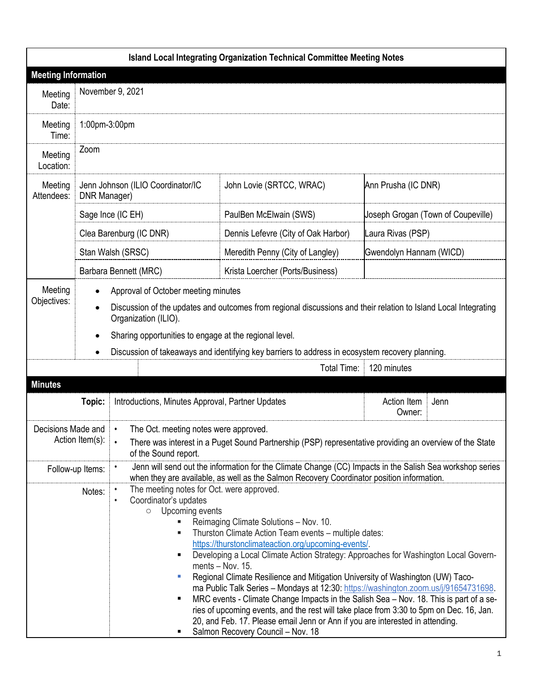| <b>Island Local Integrating Organization Technical Committee Meeting Notes</b> |                                                                                                                                              |                                                                                                                                                                                                                    |                                                                                                                                                                                                                                                                                                                                                                                                                                                                                                                                                                                                                                                                                                                                                                                                                         |                         |                                    |  |
|--------------------------------------------------------------------------------|----------------------------------------------------------------------------------------------------------------------------------------------|--------------------------------------------------------------------------------------------------------------------------------------------------------------------------------------------------------------------|-------------------------------------------------------------------------------------------------------------------------------------------------------------------------------------------------------------------------------------------------------------------------------------------------------------------------------------------------------------------------------------------------------------------------------------------------------------------------------------------------------------------------------------------------------------------------------------------------------------------------------------------------------------------------------------------------------------------------------------------------------------------------------------------------------------------------|-------------------------|------------------------------------|--|
| <b>Meeting Information</b>                                                     |                                                                                                                                              |                                                                                                                                                                                                                    |                                                                                                                                                                                                                                                                                                                                                                                                                                                                                                                                                                                                                                                                                                                                                                                                                         |                         |                                    |  |
| Meeting<br>Date:                                                               |                                                                                                                                              | November 9, 2021                                                                                                                                                                                                   |                                                                                                                                                                                                                                                                                                                                                                                                                                                                                                                                                                                                                                                                                                                                                                                                                         |                         |                                    |  |
| Meeting<br>Time:                                                               | 1:00pm-3:00pm                                                                                                                                |                                                                                                                                                                                                                    |                                                                                                                                                                                                                                                                                                                                                                                                                                                                                                                                                                                                                                                                                                                                                                                                                         |                         |                                    |  |
| Meeting<br>Location:                                                           | Zoom                                                                                                                                         |                                                                                                                                                                                                                    |                                                                                                                                                                                                                                                                                                                                                                                                                                                                                                                                                                                                                                                                                                                                                                                                                         |                         |                                    |  |
| Meeting<br>Attendees:                                                          | Jenn Johnson (ILIO Coordinator/IC<br>DNR Manager)                                                                                            |                                                                                                                                                                                                                    | John Lovie (SRTCC, WRAC)                                                                                                                                                                                                                                                                                                                                                                                                                                                                                                                                                                                                                                                                                                                                                                                                | Ann Prusha (IC DNR)     |                                    |  |
|                                                                                | Sage Ince (IC EH)                                                                                                                            |                                                                                                                                                                                                                    | PaulBen McElwain (SWS)                                                                                                                                                                                                                                                                                                                                                                                                                                                                                                                                                                                                                                                                                                                                                                                                  |                         | Joseph Grogan (Town of Coupeville) |  |
|                                                                                | Clea Barenburg (IC DNR)                                                                                                                      |                                                                                                                                                                                                                    | Dennis Lefevre (City of Oak Harbor)                                                                                                                                                                                                                                                                                                                                                                                                                                                                                                                                                                                                                                                                                                                                                                                     | Laura Rivas (PSP)       |                                    |  |
|                                                                                |                                                                                                                                              | Stan Walsh (SRSC)                                                                                                                                                                                                  | Meredith Penny (City of Langley)                                                                                                                                                                                                                                                                                                                                                                                                                                                                                                                                                                                                                                                                                                                                                                                        | Gwendolyn Hannam (WICD) |                                    |  |
|                                                                                |                                                                                                                                              | Barbara Bennett (MRC)                                                                                                                                                                                              | Krista Loercher (Ports/Business)                                                                                                                                                                                                                                                                                                                                                                                                                                                                                                                                                                                                                                                                                                                                                                                        |                         |                                    |  |
| Meeting                                                                        | Approval of October meeting minutes                                                                                                          |                                                                                                                                                                                                                    |                                                                                                                                                                                                                                                                                                                                                                                                                                                                                                                                                                                                                                                                                                                                                                                                                         |                         |                                    |  |
| Objectives:                                                                    | Discussion of the updates and outcomes from regional discussions and their relation to Island Local Integrating<br>٠<br>Organization (ILIO). |                                                                                                                                                                                                                    |                                                                                                                                                                                                                                                                                                                                                                                                                                                                                                                                                                                                                                                                                                                                                                                                                         |                         |                                    |  |
|                                                                                | Sharing opportunities to engage at the regional level.                                                                                       |                                                                                                                                                                                                                    |                                                                                                                                                                                                                                                                                                                                                                                                                                                                                                                                                                                                                                                                                                                                                                                                                         |                         |                                    |  |
|                                                                                | Discussion of takeaways and identifying key barriers to address in ecosystem recovery planning.<br>٠                                         |                                                                                                                                                                                                                    |                                                                                                                                                                                                                                                                                                                                                                                                                                                                                                                                                                                                                                                                                                                                                                                                                         |                         |                                    |  |
|                                                                                |                                                                                                                                              |                                                                                                                                                                                                                    | Total Time:                                                                                                                                                                                                                                                                                                                                                                                                                                                                                                                                                                                                                                                                                                                                                                                                             | 120 minutes             |                                    |  |
| <b>Minutes</b>                                                                 |                                                                                                                                              |                                                                                                                                                                                                                    |                                                                                                                                                                                                                                                                                                                                                                                                                                                                                                                                                                                                                                                                                                                                                                                                                         |                         |                                    |  |
| Topic:                                                                         |                                                                                                                                              |                                                                                                                                                                                                                    | Introductions, Minutes Approval, Partner Updates                                                                                                                                                                                                                                                                                                                                                                                                                                                                                                                                                                                                                                                                                                                                                                        |                         | Jenn                               |  |
| Decisions Made and<br>Action Item(s):                                          |                                                                                                                                              | The Oct. meeting notes were approved.<br>$\bullet$                                                                                                                                                                 |                                                                                                                                                                                                                                                                                                                                                                                                                                                                                                                                                                                                                                                                                                                                                                                                                         |                         |                                    |  |
|                                                                                |                                                                                                                                              | There was interest in a Puget Sound Partnership (PSP) representative providing an overview of the State<br>of the Sound report.                                                                                    |                                                                                                                                                                                                                                                                                                                                                                                                                                                                                                                                                                                                                                                                                                                                                                                                                         |                         |                                    |  |
| Follow-up Items:                                                               |                                                                                                                                              | Jenn will send out the information for the Climate Change (CC) Impacts in the Salish Sea workshop series<br>$\bullet$<br>when they are available, as well as the Salmon Recovery Coordinator position information. |                                                                                                                                                                                                                                                                                                                                                                                                                                                                                                                                                                                                                                                                                                                                                                                                                         |                         |                                    |  |
| Notes:                                                                         |                                                                                                                                              | ٠<br>Coordinator's updates<br>$\bullet$<br>$\circ$<br>٠<br>Ш<br>٠                                                                                                                                                  | The meeting notes for Oct. were approved.<br>Upcoming events<br>Reimaging Climate Solutions - Nov. 10.<br>Thurston Climate Action Team events - multiple dates:<br>https://thurstonclimateaction.org/upcoming-events/.<br>Developing a Local Climate Action Strategy: Approaches for Washington Local Govern-<br>ments $-$ Nov. 15.<br>Regional Climate Resilience and Mitigation University of Washington (UW) Taco-<br>ma Public Talk Series - Mondays at 12:30: https://washington.zoom.us/j/91654731698.<br>MRC events - Climate Change Impacts in the Salish Sea - Nov. 18. This is part of a se-<br>ries of upcoming events, and the rest will take place from 3:30 to 5pm on Dec. 16, Jan.<br>20, and Feb. 17. Please email Jenn or Ann if you are interested in attending.<br>Salmon Recovery Council - Nov. 18 |                         |                                    |  |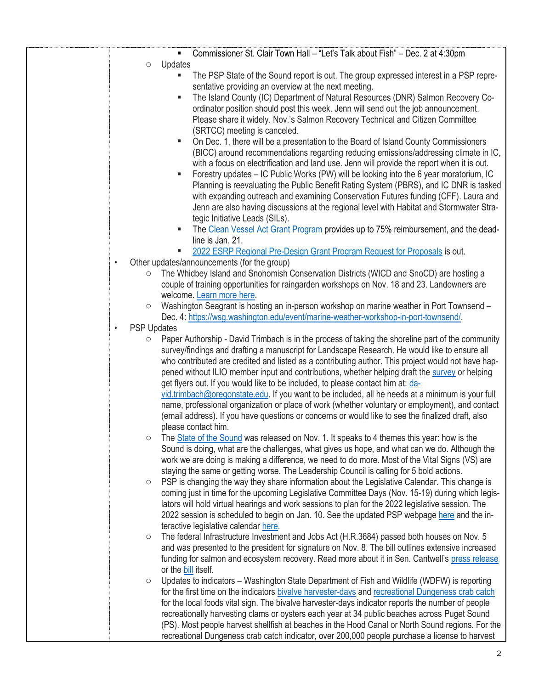| Commissioner St. Clair Town Hall - "Let's Talk about Fish" - Dec. 2 at 4:30pm<br>$\blacksquare$                                                                                    |
|------------------------------------------------------------------------------------------------------------------------------------------------------------------------------------|
| Updates<br>$\circlearrowright$                                                                                                                                                     |
| The PSP State of the Sound report is out. The group expressed interest in a PSP repre-<br>٠                                                                                        |
| sentative providing an overview at the next meeting.                                                                                                                               |
| The Island County (IC) Department of Natural Resources (DNR) Salmon Recovery Co-<br>п                                                                                              |
| ordinator position should post this week. Jenn will send out the job announcement.                                                                                                 |
| Please share it widely. Nov.'s Salmon Recovery Technical and Citizen Committee                                                                                                     |
| (SRTCC) meeting is canceled.<br>п                                                                                                                                                  |
| On Dec. 1, there will be a presentation to the Board of Island County Commissioners                                                                                                |
| (BICC) around recommendations regarding reducing emissions/addressing climate in IC,<br>with a focus on electrification and land use. Jenn will provide the report when it is out. |
| Forestry updates - IC Public Works (PW) will be looking into the 6 year moratorium, IC<br>ш                                                                                        |
| Planning is reevaluating the Public Benefit Rating System (PBRS), and IC DNR is tasked                                                                                             |
| with expanding outreach and examining Conservation Futures funding (CFF). Laura and                                                                                                |
| Jenn are also having discussions at the regional level with Habitat and Stormwater Stra-                                                                                           |
| tegic Initiative Leads (SILs).                                                                                                                                                     |
| The Clean Vessel Act Grant Program provides up to 75% reimbursement, and the dead-<br>п                                                                                            |
| line is Jan. 21.                                                                                                                                                                   |
| 2022 ESRP Regional Pre-Design Grant Program Request for Proposals is out.<br>ш                                                                                                     |
| Other updates/announcements (for the group)<br>$\bullet$                                                                                                                           |
| The Whidbey Island and Snohomish Conservation Districts (WICD and SnoCD) are hosting a<br>$\circ$                                                                                  |
| couple of training opportunities for raingarden workshops on Nov. 18 and 23. Landowners are                                                                                        |
| welcome. Learn more here.                                                                                                                                                          |
| Washington Seagrant is hosting an in-person workshop on marine weather in Port Townsend -<br>$\circ$                                                                               |
| Dec. 4: https://wsg.washington.edu/event/marine-weather-workshop-in-port-townsend/.<br><b>PSP Updates</b><br>$\bullet$                                                             |
| Paper Authorship - David Trimbach is in the process of taking the shoreline part of the community<br>O                                                                             |
| survey/findings and drafting a manuscript for Landscape Research. He would like to ensure all                                                                                      |
| who contributed are credited and listed as a contributing author. This project would not have hap-                                                                                 |
| pened without ILIO member input and contributions, whether helping draft the survey or helping                                                                                     |
| get flyers out. If you would like to be included, to please contact him at: da-                                                                                                    |
| vid.trimbach@oregonstate.edu. If you want to be included, all he needs at a minimum is your full                                                                                   |
| name, professional organization or place of work (whether voluntary or employment), and contact                                                                                    |
| (email address). If you have questions or concerns or would like to see the finalized draft, also                                                                                  |
| please contact him.                                                                                                                                                                |
| The State of the Sound was released on Nov. 1. It speaks to 4 themes this year: how is the<br>O                                                                                    |
| Sound is doing, what are the challenges, what gives us hope, and what can we do. Although the                                                                                      |
| work we are doing is making a difference, we need to do more. Most of the Vital Signs (VS) are                                                                                     |
| staying the same or getting worse. The Leadership Council is calling for 5 bold actions.                                                                                           |
| PSP is changing the way they share information about the Legislative Calendar. This change is<br>$\circ$                                                                           |
| coming just in time for the upcoming Legislative Committee Days (Nov. 15-19) during which legis-                                                                                   |
| lators will hold virtual hearings and work sessions to plan for the 2022 legislative session. The                                                                                  |
| 2022 session is scheduled to begin on Jan. 10. See the updated PSP webpage here and the in-<br>teractive legislative calendar here.                                                |
| The federal Infrastructure Investment and Jobs Act (H.R.3684) passed both houses on Nov. 5<br>$\circlearrowright$                                                                  |
| and was presented to the president for signature on Nov. 8. The bill outlines extensive increased                                                                                  |
| funding for salmon and ecosystem recovery. Read more about it in Sen. Cantwell's press release                                                                                     |
| or the bill itself.                                                                                                                                                                |
| Updates to indicators – Washington State Department of Fish and Wildlife (WDFW) is reporting<br>$\bigcirc$                                                                         |
| for the first time on the indicators bivalve harvester-days and recreational Dungeness crab catch                                                                                  |
| for the local foods vital sign. The bivalve harvester-days indicator reports the number of people                                                                                  |
| recreationally harvesting clams or oysters each year at 34 public beaches across Puget Sound                                                                                       |
| (PS). Most people harvest shellfish at beaches in the Hood Canal or North Sound regions. For the                                                                                   |
| recreational Dungeness crab catch indicator, over 200,000 people purchase a license to harvest                                                                                     |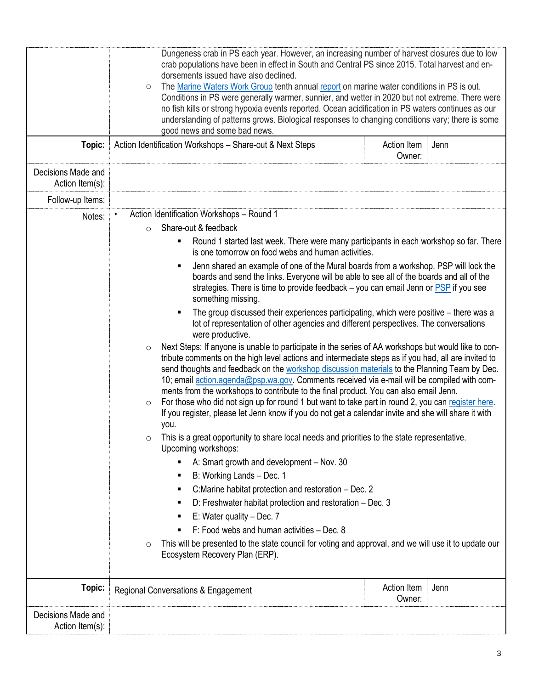|                                       | Dungeness crab in PS each year. However, an increasing number of harvest closures due to low<br>crab populations have been in effect in South and Central PS since 2015. Total harvest and en-<br>dorsements issued have also declined.<br>The Marine Waters Work Group tenth annual report on marine water conditions in PS is out.<br>$\circ$<br>Conditions in PS were generally warmer, sunnier, and wetter in 2020 but not extreme. There were<br>no fish kills or strong hypoxia events reported. Ocean acidification in PS waters continues as our<br>understanding of patterns grows. Biological responses to changing conditions vary; there is some<br>good news and some bad news.                                                                                                                                                                               |                                                                                                       |      |
|---------------------------------------|----------------------------------------------------------------------------------------------------------------------------------------------------------------------------------------------------------------------------------------------------------------------------------------------------------------------------------------------------------------------------------------------------------------------------------------------------------------------------------------------------------------------------------------------------------------------------------------------------------------------------------------------------------------------------------------------------------------------------------------------------------------------------------------------------------------------------------------------------------------------------|-------------------------------------------------------------------------------------------------------|------|
| Topic:                                | Action Identification Workshops - Share-out & Next Steps<br>Action Item<br>Owner:                                                                                                                                                                                                                                                                                                                                                                                                                                                                                                                                                                                                                                                                                                                                                                                          |                                                                                                       | Jenn |
| Decisions Made and<br>Action Item(s): |                                                                                                                                                                                                                                                                                                                                                                                                                                                                                                                                                                                                                                                                                                                                                                                                                                                                            |                                                                                                       |      |
| Follow-up Items:                      |                                                                                                                                                                                                                                                                                                                                                                                                                                                                                                                                                                                                                                                                                                                                                                                                                                                                            |                                                                                                       |      |
| Notes:                                | Action Identification Workshops - Round 1<br>$\bullet$                                                                                                                                                                                                                                                                                                                                                                                                                                                                                                                                                                                                                                                                                                                                                                                                                     |                                                                                                       |      |
|                                       | Share-out & feedback<br>$\circ$                                                                                                                                                                                                                                                                                                                                                                                                                                                                                                                                                                                                                                                                                                                                                                                                                                            |                                                                                                       |      |
|                                       | Round 1 started last week. There were many participants in each workshop so far. There<br>is one tomorrow on food webs and human activities.<br>Jenn shared an example of one of the Mural boards from a workshop. PSP will lock the<br>٠<br>boards and send the links. Everyone will be able to see all of the boards and all of the<br>strategies. There is time to provide feedback $-$ you can email Jenn or $PSP$ if you see<br>something missing.                                                                                                                                                                                                                                                                                                                                                                                                                    |                                                                                                       |      |
|                                       |                                                                                                                                                                                                                                                                                                                                                                                                                                                                                                                                                                                                                                                                                                                                                                                                                                                                            |                                                                                                       |      |
|                                       | The group discussed their experiences participating, which were positive – there was a<br>lot of representation of other agencies and different perspectives. The conversations<br>were productive.                                                                                                                                                                                                                                                                                                                                                                                                                                                                                                                                                                                                                                                                        |                                                                                                       |      |
|                                       | Next Steps: If anyone is unable to participate in the series of AA workshops but would like to con-<br>$\circ$<br>tribute comments on the high level actions and intermediate steps as if you had, all are invited to<br>send thoughts and feedback on the workshop discussion materials to the Planning Team by Dec.<br>10; email action.agenda@psp.wa.gov. Comments received via e-mail will be compiled with com-<br>ments from the workshops to contribute to the final product. You can also email Jenn.<br>For those who did not sign up for round 1 but want to take part in round 2, you can register here.<br>$\circ$<br>If you register, please let Jenn know if you do not get a calendar invite and she will share it with<br>you.<br>This is a great opportunity to share local needs and priorities to the state representative.<br>O<br>Upcoming workshops: |                                                                                                       |      |
|                                       |                                                                                                                                                                                                                                                                                                                                                                                                                                                                                                                                                                                                                                                                                                                                                                                                                                                                            |                                                                                                       |      |
|                                       | A: Smart growth and development - Nov. 30                                                                                                                                                                                                                                                                                                                                                                                                                                                                                                                                                                                                                                                                                                                                                                                                                                  |                                                                                                       |      |
|                                       | B: Working Lands - Dec. 1<br>٠                                                                                                                                                                                                                                                                                                                                                                                                                                                                                                                                                                                                                                                                                                                                                                                                                                             |                                                                                                       |      |
|                                       | C: Marine habitat protection and restoration – Dec. 2<br>п                                                                                                                                                                                                                                                                                                                                                                                                                                                                                                                                                                                                                                                                                                                                                                                                                 |                                                                                                       |      |
|                                       | D: Freshwater habitat protection and restoration - Dec. 3                                                                                                                                                                                                                                                                                                                                                                                                                                                                                                                                                                                                                                                                                                                                                                                                                  |                                                                                                       |      |
|                                       | E: Water quality $-$ Dec. 7                                                                                                                                                                                                                                                                                                                                                                                                                                                                                                                                                                                                                                                                                                                                                                                                                                                |                                                                                                       |      |
|                                       | F: Food webs and human activities - Dec. 8                                                                                                                                                                                                                                                                                                                                                                                                                                                                                                                                                                                                                                                                                                                                                                                                                                 |                                                                                                       |      |
|                                       | $\circ$<br>Ecosystem Recovery Plan (ERP).                                                                                                                                                                                                                                                                                                                                                                                                                                                                                                                                                                                                                                                                                                                                                                                                                                  | This will be presented to the state council for voting and approval, and we will use it to update our |      |
|                                       |                                                                                                                                                                                                                                                                                                                                                                                                                                                                                                                                                                                                                                                                                                                                                                                                                                                                            |                                                                                                       |      |
| Topic:                                | Regional Conversations & Engagement                                                                                                                                                                                                                                                                                                                                                                                                                                                                                                                                                                                                                                                                                                                                                                                                                                        | Action Item<br>Owner:                                                                                 | Jenn |
| Decisions Made and<br>Action Item(s): |                                                                                                                                                                                                                                                                                                                                                                                                                                                                                                                                                                                                                                                                                                                                                                                                                                                                            |                                                                                                       |      |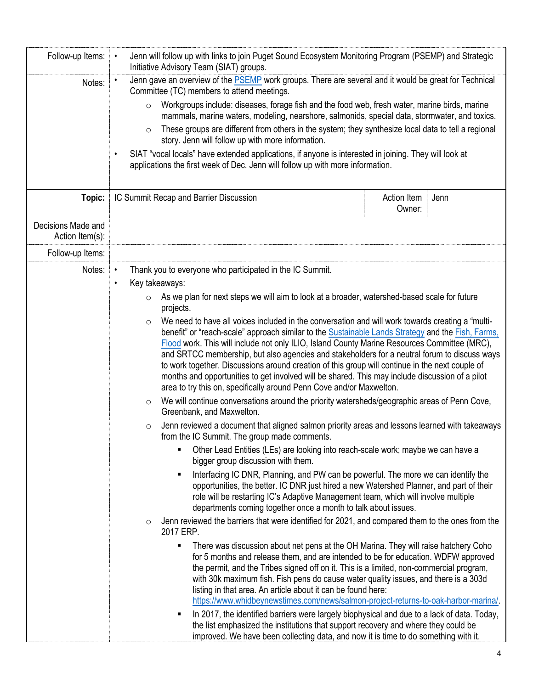| Follow-up Items:                      | Jenn will follow up with links to join Puget Sound Ecosystem Monitoring Program (PSEMP) and Strategic<br>$\bullet$<br>Initiative Advisory Team (SIAT) groups.                                                                                                                                                                                                       |                                                                                                                                                                                                                                                                                                                 |                                                                                                 |      |  |
|---------------------------------------|---------------------------------------------------------------------------------------------------------------------------------------------------------------------------------------------------------------------------------------------------------------------------------------------------------------------------------------------------------------------|-----------------------------------------------------------------------------------------------------------------------------------------------------------------------------------------------------------------------------------------------------------------------------------------------------------------|-------------------------------------------------------------------------------------------------|------|--|
| Notes:                                | Jenn gave an overview of the <b>PSEMP</b> work groups. There are several and it would be great for Technical<br>$\bullet$<br>Committee (TC) members to attend meetings.                                                                                                                                                                                             |                                                                                                                                                                                                                                                                                                                 |                                                                                                 |      |  |
|                                       | $\circ$                                                                                                                                                                                                                                                                                                                                                             | Workgroups include: diseases, forage fish and the food web, fresh water, marine birds, marine<br>mammals, marine waters, modeling, nearshore, salmonids, special data, stormwater, and toxics.                                                                                                                  |                                                                                                 |      |  |
|                                       | These groups are different from others in the system; they synthesize local data to tell a regional<br>$\circ$<br>story. Jenn will follow up with more information.<br>SIAT "vocal locals" have extended applications, if anyone is interested in joining. They will look at<br>٠<br>applications the first week of Dec. Jenn will follow up with more information. |                                                                                                                                                                                                                                                                                                                 |                                                                                                 |      |  |
|                                       |                                                                                                                                                                                                                                                                                                                                                                     |                                                                                                                                                                                                                                                                                                                 |                                                                                                 |      |  |
|                                       |                                                                                                                                                                                                                                                                                                                                                                     |                                                                                                                                                                                                                                                                                                                 |                                                                                                 |      |  |
| Topic:                                |                                                                                                                                                                                                                                                                                                                                                                     | IC Summit Recap and Barrier Discussion                                                                                                                                                                                                                                                                          | Action Item<br>Owner:                                                                           | Jenn |  |
| Decisions Made and<br>Action Item(s): |                                                                                                                                                                                                                                                                                                                                                                     |                                                                                                                                                                                                                                                                                                                 |                                                                                                 |      |  |
| Follow-up Items:                      |                                                                                                                                                                                                                                                                                                                                                                     |                                                                                                                                                                                                                                                                                                                 |                                                                                                 |      |  |
| Notes:                                | Thank you to everyone who participated in the IC Summit.<br>$\bullet$                                                                                                                                                                                                                                                                                               |                                                                                                                                                                                                                                                                                                                 |                                                                                                 |      |  |
|                                       | $\bullet$                                                                                                                                                                                                                                                                                                                                                           | Key takeaways:                                                                                                                                                                                                                                                                                                  |                                                                                                 |      |  |
|                                       |                                                                                                                                                                                                                                                                                                                                                                     | As we plan for next steps we will aim to look at a broader, watershed-based scale for future<br>projects.                                                                                                                                                                                                       |                                                                                                 |      |  |
|                                       | $\circ$                                                                                                                                                                                                                                                                                                                                                             | We need to have all voices included in the conversation and will work towards creating a "multi-                                                                                                                                                                                                                |                                                                                                 |      |  |
|                                       | benefit" or "reach-scale" approach similar to the Sustainable Lands Strategy and the Fish, Farms,<br>Flood work. This will include not only ILIO, Island County Marine Resources Committee (MRC),                                                                                                                                                                   |                                                                                                                                                                                                                                                                                                                 |                                                                                                 |      |  |
|                                       |                                                                                                                                                                                                                                                                                                                                                                     | and SRTCC membership, but also agencies and stakeholders for a neutral forum to discuss ways                                                                                                                                                                                                                    |                                                                                                 |      |  |
|                                       |                                                                                                                                                                                                                                                                                                                                                                     |                                                                                                                                                                                                                                                                                                                 | to work together. Discussions around creation of this group will continue in the next couple of |      |  |
|                                       |                                                                                                                                                                                                                                                                                                                                                                     | months and opportunities to get involved will be shared. This may include discussion of a pilot<br>area to try this on, specifically around Penn Cove and/or Maxwelton.<br>We will continue conversations around the priority watersheds/geographic areas of Penn Cove,<br>$\circ$<br>Greenbank, and Maxwelton. |                                                                                                 |      |  |
|                                       |                                                                                                                                                                                                                                                                                                                                                                     |                                                                                                                                                                                                                                                                                                                 |                                                                                                 |      |  |
|                                       | Jenn reviewed a document that aligned salmon priority areas and lessons learned with takeaways<br>O<br>from the IC Summit. The group made comments.                                                                                                                                                                                                                 |                                                                                                                                                                                                                                                                                                                 |                                                                                                 |      |  |
|                                       |                                                                                                                                                                                                                                                                                                                                                                     | Other Lead Entities (LEs) are looking into reach-scale work; maybe we can have a<br>bigger group discussion with them.                                                                                                                                                                                          |                                                                                                 |      |  |
|                                       | Interfacing IC DNR, Planning, and PW can be powerful. The more we can identify the<br>٠<br>opportunities, the better. IC DNR just hired a new Watershed Planner, and part of their                                                                                                                                                                                  |                                                                                                                                                                                                                                                                                                                 |                                                                                                 |      |  |
|                                       |                                                                                                                                                                                                                                                                                                                                                                     | role will be restarting IC's Adaptive Management team, which will involve multiple<br>departments coming together once a month to talk about issues.                                                                                                                                                            |                                                                                                 |      |  |
|                                       |                                                                                                                                                                                                                                                                                                                                                                     | Jenn reviewed the barriers that were identified for 2021, and compared them to the ones from the<br>2017 ERP.                                                                                                                                                                                                   |                                                                                                 |      |  |
|                                       |                                                                                                                                                                                                                                                                                                                                                                     | There was discussion about net pens at the OH Marina. They will raise hatchery Coho<br>٠                                                                                                                                                                                                                        |                                                                                                 |      |  |
|                                       |                                                                                                                                                                                                                                                                                                                                                                     | for 5 months and release them, and are intended to be for education. WDFW approved<br>the permit, and the Tribes signed off on it. This is a limited, non-commercial program,                                                                                                                                   |                                                                                                 |      |  |
|                                       |                                                                                                                                                                                                                                                                                                                                                                     | with 30k maximum fish. Fish pens do cause water quality issues, and there is a 303d                                                                                                                                                                                                                             |                                                                                                 |      |  |
|                                       |                                                                                                                                                                                                                                                                                                                                                                     | listing in that area. An article about it can be found here:<br>https://www.whidbeynewstimes.com/news/salmon-project-returns-to-oak-harbor-marina/.                                                                                                                                                             |                                                                                                 |      |  |
|                                       |                                                                                                                                                                                                                                                                                                                                                                     | In 2017, the identified barriers were largely biophysical and due to a lack of data. Today,<br>٠                                                                                                                                                                                                                |                                                                                                 |      |  |
|                                       |                                                                                                                                                                                                                                                                                                                                                                     | the list emphasized the institutions that support recovery and where they could be<br>improved. We have been collecting data, and now it is time to do something with it.                                                                                                                                       |                                                                                                 |      |  |